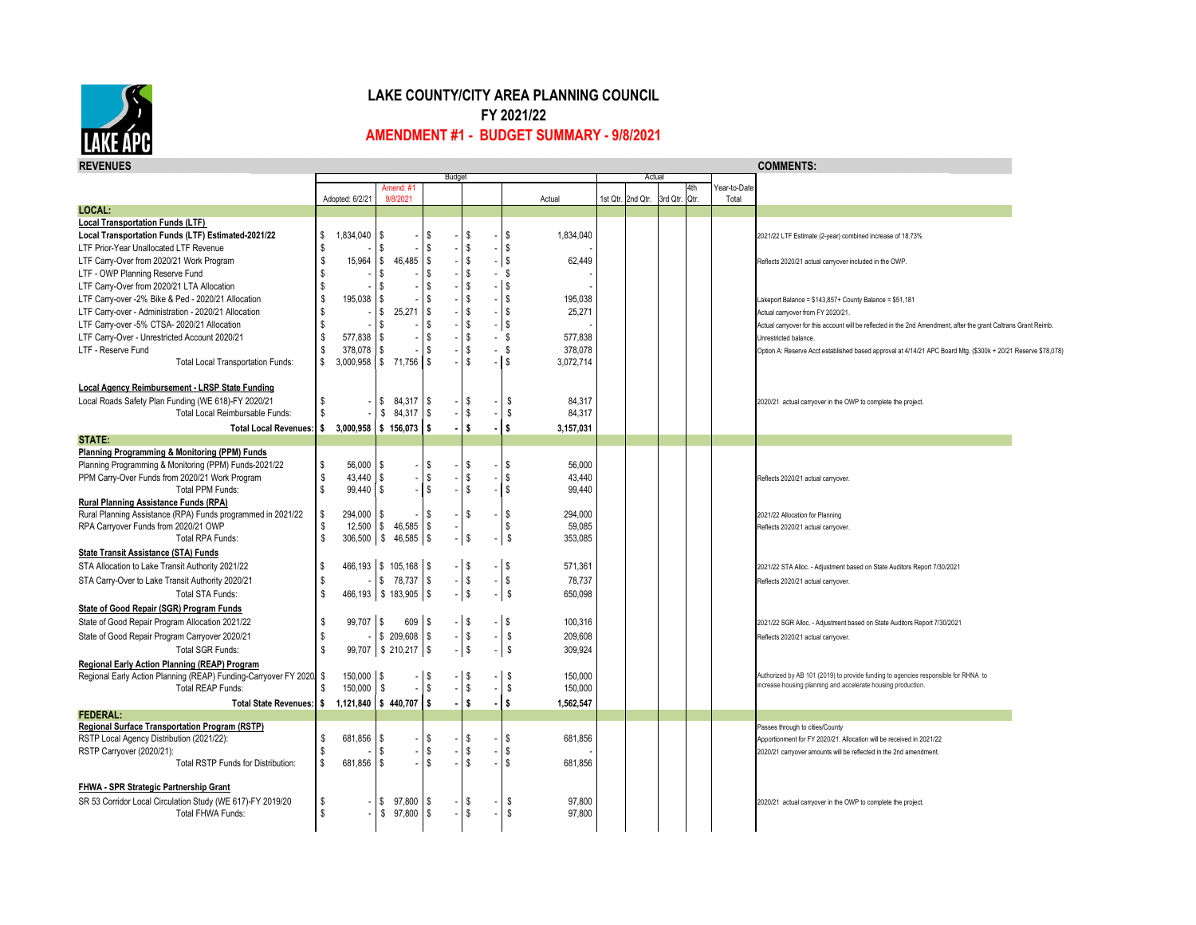

## **LAKE COUNTY/CITY AREA PLANNING COUNCIL FY 2021/22 AMENDMENT #1 - BUDGET SUMMARY - 9/8/2021**

| <b>REVENUES</b>                                                   |                                      |                             |                  |  |                    |            |                 |          |          |          |      |              | <b>COMMENTS:</b>                                                                                                                                   |
|-------------------------------------------------------------------|--------------------------------------|-----------------------------|------------------|--|--------------------|------------|-----------------|----------|----------|----------|------|--------------|----------------------------------------------------------------------------------------------------------------------------------------------------|
|                                                                   | Budget<br>Amend: #1                  |                             |                  |  |                    |            |                 |          |          | Actual   | 4th  | Year-to-Date |                                                                                                                                                    |
|                                                                   | Adopted: 6/2/21                      | 9/8/2021                    |                  |  |                    |            | Actual          | 1st Otr. | 2nd Qtr. | 3rd Otr. | Otr. | Total        |                                                                                                                                                    |
| LOCAL:                                                            |                                      |                             |                  |  |                    |            |                 |          |          |          |      |              |                                                                                                                                                    |
| <b>Local Transportation Funds (LTF)</b>                           |                                      |                             |                  |  |                    |            |                 |          |          |          |      |              |                                                                                                                                                    |
| Local Transportation Funds (LTF) Estimated-2021/22                | \$<br>1,834,040                      | -S                          | Ŝ.               |  | <b>S</b>           | 5          | 1,834,040       |          |          |          |      |              | 2021/22 LTF Estimate (2-year) combined increase of 18.73%                                                                                          |
| LTF Prior-Year Unallocated LTF Revenue                            | \$                                   | £.                          | \$               |  | \$                 | $\sqrt{2}$ |                 |          |          |          |      |              |                                                                                                                                                    |
| LTF Carry-Over from 2020/21 Work Program                          | 15,964                               | 46,485<br>\$                | $\sqrt{3}$       |  | S                  | l \$       | 62,449          |          |          |          |      |              | Reflects 2020/21 actual carryover included in the OWP.                                                                                             |
| LTF - OWP Planning Reserve Fund                                   | \$<br>\$                             | S                           | <b>S</b>         |  | S                  | - \$       |                 |          |          |          |      |              |                                                                                                                                                    |
| LTF Carry-Over from 2020/21 LTA Allocation                        | \$                                   | S                           | \$               |  | <b>S</b>           | l \$       |                 |          |          |          |      |              |                                                                                                                                                    |
| LTF Carry-over -2% Bike & Ped - 2020/21 Allocation                | \$<br>195,038                        | S                           | Ŝ.               |  | S                  | <b>S</b>   | 195,038         |          |          |          |      |              | Lakeport Balance = \$143,857+ County Balance = \$51,181                                                                                            |
| LTF Carry-over - Administration - 2020/21 Allocation              | \$                                   | \$<br>25,271                | $\sqrt{3}$       |  | \$                 | $\sqrt{2}$ | 25,271          |          |          |          |      |              | Actual carryover from FY 2020/21.                                                                                                                  |
| LTF Carry-over -5% CTSA- 2020/21 Allocation                       | \$                                   | S                           | \$               |  | S                  | <b>S</b>   |                 |          |          |          |      |              | Actual carryover for this account will be reflected in the 2nd Amendment, after the grant Caltrans Grant Reimb.                                    |
| LTF Carry-Over - Unrestricted Account 2020/21                     | \$<br>577,838                        | \$                          | <b>S</b>         |  | S                  | $-$ \$     | 577,838         |          |          |          |      |              | Unrestricted balance                                                                                                                               |
| LTF - Reserve Fund                                                | $\boldsymbol{\mathsf{S}}$<br>378,078 | S                           | \$               |  | <b>S</b>           | S.         | 378,078         |          |          |          |      |              | Option A: Reserve Acct established based approval at 4/14/21 APC Board Mtg. (\$300k + 20/21 Reserve \$78,078)                                      |
| <b>Total Local Transportation Funds:</b>                          | \$<br>3,000,958                      | \$71,756                    | \$               |  | \$                 | l \$       | 3,072,714       |          |          |          |      |              |                                                                                                                                                    |
|                                                                   |                                      |                             |                  |  |                    |            |                 |          |          |          |      |              |                                                                                                                                                    |
| Local Agency Reimbursement - LRSP State Funding                   |                                      |                             |                  |  |                    |            |                 |          |          |          |      |              |                                                                                                                                                    |
| Local Roads Safety Plan Funding (WE 618)-FY 2020/21               | \$                                   |                             |                  |  | S                  |            | \$<br>84.317    |          |          |          |      |              | 2020/21 actual carryover in the OWP to complete the project                                                                                        |
| Total Local Reimbursable Funds:                                   | $\mathbb S$                          | \$84,317                    | $\mathsf{s}$     |  | s                  |            | \$<br>84.317    |          |          |          |      |              |                                                                                                                                                    |
| <b>Total Local Revenues:</b>                                      | s.<br>3,000,958                      | \$156,073                   | l \$             |  | s                  | l \$       | 3,157,031       |          |          |          |      |              |                                                                                                                                                    |
| STATE:                                                            |                                      |                             |                  |  |                    |            |                 |          |          |          |      |              |                                                                                                                                                    |
| Planning Programming & Monitoring (PPM) Funds                     |                                      |                             |                  |  |                    |            |                 |          |          |          |      |              |                                                                                                                                                    |
| Planning Programming & Monitoring (PPM) Funds-2021/22             | \$<br>56.000                         | \$                          | \$               |  | \$                 | \$         | 56.000          |          |          |          |      |              |                                                                                                                                                    |
| PPM Carry-Over Funds from 2020/21 Work Program                    | \$<br>43,440                         | S                           | \$               |  | \$                 | \$         | 43,440          |          |          |          |      |              | Reflects 2020/21 actual carryover.                                                                                                                 |
| Total PPM Funds:                                                  | $\mathbf{\hat{s}}$<br>99,440         | S                           | $\mathbb S$      |  | s                  | <b>S</b>   | 99,440          |          |          |          |      |              |                                                                                                                                                    |
| Rural Planning Assistance Funds (RPA)                             |                                      |                             |                  |  |                    |            |                 |          |          |          |      |              |                                                                                                                                                    |
| Rural Planning Assistance (RPA) Funds programmed in 2021/22       | \$<br>294,000                        | <b>S</b>                    | \$               |  | \$                 | <b>S</b>   | 294,000         |          |          |          |      |              | 2021/22 Allocation for Planning                                                                                                                    |
| RPA Carryover Funds from 2020/21 OWP                              | \$<br>12,500                         | <b>\$</b><br>46,585         | $\sqrt{2}$       |  |                    | \$         | 59,085          |          |          |          |      |              | Reflects 2020/21 actual carryover.                                                                                                                 |
| Total RPA Funds:                                                  | \$<br>$306,500$ \$                   | 46,585                      | l \$             |  | -S                 |            | - S<br>353,085  |          |          |          |      |              |                                                                                                                                                    |
| State Transit Assistance (STA) Funds                              |                                      |                             |                  |  |                    |            |                 |          |          |          |      |              |                                                                                                                                                    |
| STA Allocation to Lake Transit Authority 2021/22                  | \$                                   | $466,193$   \$ 105,168   \$ |                  |  | l \$               | $\sqrt{3}$ | 571,361         |          |          |          |      |              | 2021/22 STA Alloc. - Adjustment based on State Auditors Report 7/30/2021                                                                           |
| STA Carry-Over to Lake Transit Authority 2020/21                  | \$                                   | \$78,737                    | l \$             |  | S,                 | <b>S</b>   | 78,737          |          |          |          |      |              | Reflects 2020/21 actual carryover.                                                                                                                 |
| Total STA Funds:                                                  | $\mathsf{\$}$<br>466,193             | $$183,905$ \ \$             |                  |  |                    |            | - S<br>650,098  |          |          |          |      |              |                                                                                                                                                    |
| State of Good Repair (SGR) Program Funds                          |                                      |                             |                  |  |                    |            |                 |          |          |          |      |              |                                                                                                                                                    |
| State of Good Repair Program Allocation 2021/22                   | <b>S</b><br>$99.707$ \ \$            |                             | $609$ $\sqrt{5}$ |  | l \$               | l \$       | 100.316         |          |          |          |      |              |                                                                                                                                                    |
|                                                                   |                                      |                             |                  |  |                    |            |                 |          |          |          |      |              | 2021/22 SGR Alloc. - Adjustment based on State Auditors Report 7/30/2021                                                                           |
| State of Good Repair Program Carryover 2020/21                    | \$                                   | $$209.608$ \ \$             |                  |  | S,                 |            | - \$<br>209.608 |          |          |          |      |              | Reflects 2020/21 actual carryover.                                                                                                                 |
| Total SGR Funds:                                                  | $\mathbf{\hat{s}}$                   | 99,707   \$ 210,217   \$    |                  |  | $\hat{\mathbf{s}}$ |            | Ŝ.<br>309,924   |          |          |          |      |              |                                                                                                                                                    |
| Regional Early Action Planning (REAP) Program                     |                                      |                             |                  |  |                    |            |                 |          |          |          |      |              |                                                                                                                                                    |
| Regional Early Action Planning (REAP) Funding-Carryover FY 2020,  | \$<br>$150,000$ \ \$                 |                             | $\sqrt{3}$       |  | \$                 |            | 150,000<br>- \$ |          |          |          |      |              | Authorized by AB 101 (2019) to provide funding to agencies responsible for RHNA to<br>increase housing planning and accelerate housing production. |
| Total REAP Funds:                                                 | $\mathfrak{S}$<br>150,000            | -S                          | \$               |  | <b>S</b>           |            | \$<br>150,000   |          |          |          |      |              |                                                                                                                                                    |
| <b>Total State Revenues:</b>                                      | s.<br>1,121,840                      | \$440,707                   | $\sim$           |  | s                  | l \$       | 1,562,547       |          |          |          |      |              |                                                                                                                                                    |
| <b>FEDERAL:</b><br>Regional Surface Transportation Program (RSTP) |                                      |                             |                  |  |                    |            |                 |          |          |          |      |              |                                                                                                                                                    |
| RSTP Local Agency Distribution (2021/22):                         | \$<br>681,856                        | \$                          | \$               |  | \$                 | \$         | 681,856         |          |          |          |      |              | Passes through to cities/County<br>Apportionment for FY 2020/21. Allocation will be received in 2021/22                                            |
| RSTP Carryover (2020/21):                                         | \$                                   | S                           | \$               |  | \$                 | \$         |                 |          |          |          |      |              | 2020/21 carryover amounts will be reflected in the 2nd amendment.                                                                                  |
| Total RSTP Funds for Distribution:                                | \$<br>681.856                        | S                           | \$               |  | <b>S</b>           | \$         | 681,856         |          |          |          |      |              |                                                                                                                                                    |
|                                                                   |                                      |                             |                  |  |                    |            |                 |          |          |          |      |              |                                                                                                                                                    |
| FHWA - SPR Strategic Partnership Grant                            |                                      |                             |                  |  |                    |            |                 |          |          |          |      |              |                                                                                                                                                    |
| SR 53 Corridor Local Circulation Study (WE 617)-FY 2019/20        | \$                                   | $$97,800$ $$$               |                  |  | \$                 |            | \$<br>97,800    |          |          |          |      |              | 2020/21 actual carryover in the OWP to complete the project                                                                                        |
| Total FHWA Funds:                                                 | \$                                   | 97,800<br>\$                | $\sqrt{3}$       |  | \$                 |            | \$<br>97,800    |          |          |          |      |              |                                                                                                                                                    |
|                                                                   |                                      |                             |                  |  |                    |            |                 |          |          |          |      |              |                                                                                                                                                    |
|                                                                   |                                      |                             |                  |  |                    |            |                 |          |          |          |      |              |                                                                                                                                                    |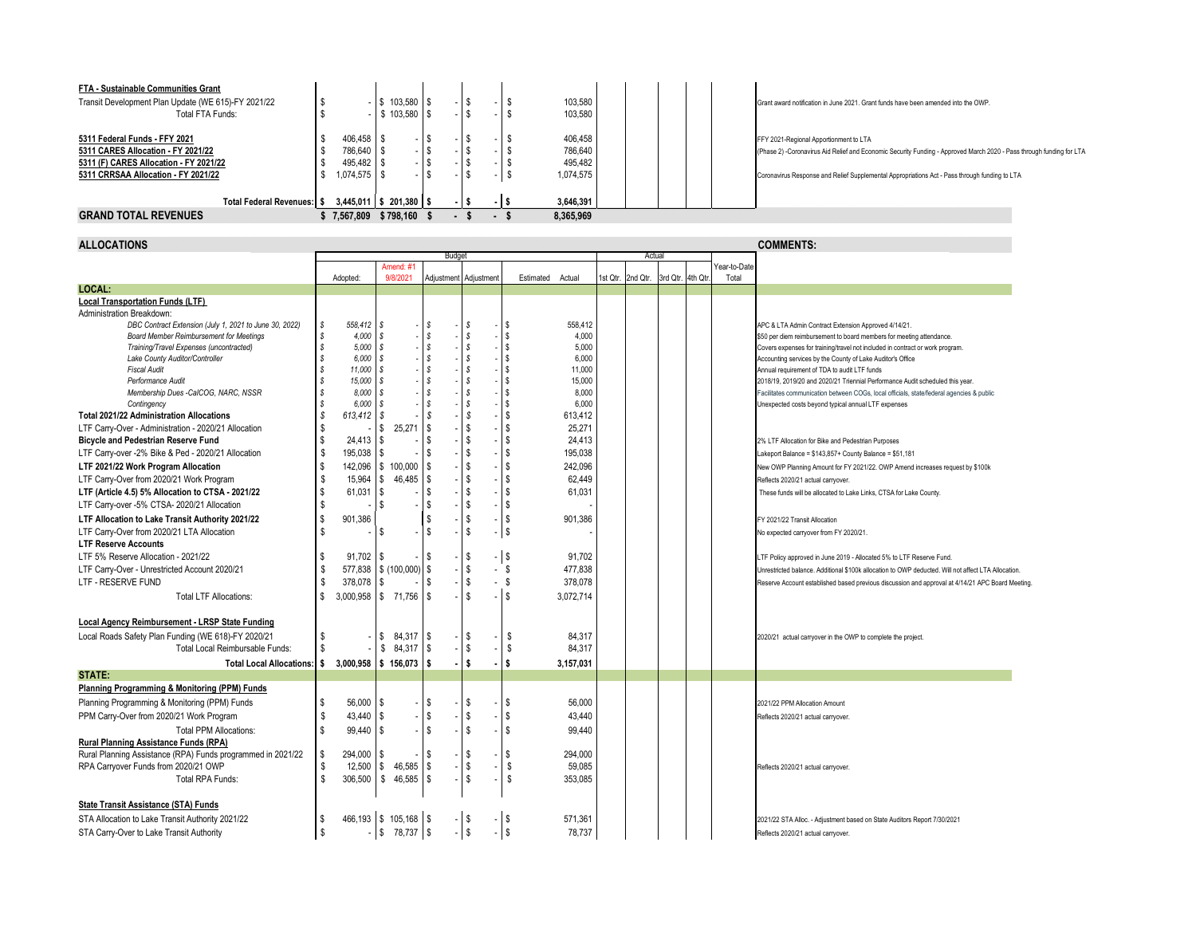| FTA - Sustainable Communities Grant                                     |                 |                               |  |     |                    |                                                                                                                      |
|-------------------------------------------------------------------------|-----------------|-------------------------------|--|-----|--------------------|----------------------------------------------------------------------------------------------------------------------|
| Transit Development Plan Update (WE 615)-FY 2021/22<br>Total FTA Funds: |                 | 103,580<br>\$103,580          |  |     | 103,580<br>103,580 | Grant award notification in June 2021. Grant funds have been amended into the OWP.                                   |
| 5311 Federal Funds - FFY 2021                                           | $406,458$ \$    |                               |  |     | 406,458            | FFY 2021-Regional Apportionment to LTA                                                                               |
| 5311 CARES Allocation - FY 2021/22                                      | 786.640   \$    |                               |  |     | 786,640            | (Phase 2) -Coronavirus Aid Relief and Economic Security Funding - Approved March 2020 - Pass through funding for LTA |
| 5311 (F) CARES Allocation - FY 2021/22                                  | 495,482 \$      |                               |  |     | 495,482            |                                                                                                                      |
| 5311 CRRSAA Allocation - FY 2021/22                                     | $.074.575$ \ \$ |                               |  |     | 1,074,575          | Coronavirus Response and Relief Supplemental Appropriations Act - Pass through funding to LTA                        |
| <b>Total Federal Revenues: \$</b>                                       |                 | $3.445.011$   \$ 201.380   \$ |  | . . | 3,646,391          |                                                                                                                      |
| <b>GRAND TOTAL REVENUES</b>                                             | 7,567,809       | \$798.160                     |  |     | 8,365,969          |                                                                                                                      |

| <b>ALLOCATIONS</b><br><b>COMMENTS:</b>                      |                                    |                               |               |                       |              |           |  |                                     |  |  |                       |                                                                                                     |
|-------------------------------------------------------------|------------------------------------|-------------------------------|---------------|-----------------------|--------------|-----------|--|-------------------------------------|--|--|-----------------------|-----------------------------------------------------------------------------------------------------|
|                                                             |                                    |                               | Budge         |                       |              |           |  | Actua                               |  |  |                       |                                                                                                     |
|                                                             | Adopted:                           | Amend: #1<br>9/8/2021         |               | Adjustment Adjustment | Estimated    | Actual    |  | 1st Qtr. 2nd Qtr. 3rd Qtr. 4th Qtr. |  |  | Year-to-Date<br>Total |                                                                                                     |
| LOCAL:                                                      |                                    |                               |               |                       |              |           |  |                                     |  |  |                       |                                                                                                     |
| <b>Local Transportation Funds (LTF)</b>                     |                                    |                               |               |                       |              |           |  |                                     |  |  |                       |                                                                                                     |
| Administration Breakdown:                                   |                                    |                               |               |                       |              |           |  |                                     |  |  |                       |                                                                                                     |
| DBC Contract Extension (July 1, 2021 to June 30, 2022)      | \$<br>558.412                      | S                             | l S           | -S                    | l S          | 558.412   |  |                                     |  |  |                       | APC & LTA Admin Contract Extension Approved 4/14/21.                                                |
| <b>Board Member Reimbursement for Meetings</b>              | $\mathbb S$<br>4,000               | S                             | l s           | s                     | l S          | 4,000     |  |                                     |  |  |                       | \$50 per diem reimbursement to board members for meeting attendance.                                |
| Training/Travel Expenses (uncontracted)                     | $\mathbb S$<br>$5,000$ $\sqrt{s}$  |                               | l s           | s                     | l s          | 5,000     |  |                                     |  |  |                       | Covers expenses for training/travel not included in contract or work program.                       |
| Lake County Auditor/Controller                              | s<br>$6,000$ \$                    |                               | l s           | s                     | l S          | 6,000     |  |                                     |  |  |                       | Accounting services by the County of Lake Auditor's Office                                          |
| <b>Fiscal Audit</b>                                         | $\mathbb S$<br>$11,000$ $\sqrt{s}$ |                               | l s           | s                     | l s          | 11,000    |  |                                     |  |  |                       | Annual requirement of TDA to audit LTF funds                                                        |
| Performance Audit                                           | $\mathcal{S}$<br>15,000            | S                             | S             | -S                    | l S          | 15,000    |  |                                     |  |  |                       | 2018/19, 2019/20 and 2020/21 Triennial Performance Audit scheduled this year.                       |
| Membership Dues -CalCOG, NARC, NSSR                         | s<br>8,000                         | l S                           | l S           | s                     | l S          | 8,000     |  |                                     |  |  |                       | Facilitates communication between COGs, local officials, state/federal agencies & public            |
| Contingency                                                 | s<br>6,000                         | s                             | S             | -S                    | l S          | 6,000     |  |                                     |  |  |                       | Unexpected costs beyond typical annual LTF expenses                                                 |
| <b>Total 2021/22 Administration Allocations</b>             | s<br>613,412                       | S                             | S             | S                     | <b>S</b>     | 613.412   |  |                                     |  |  |                       |                                                                                                     |
| LTF Carry-Over - Administration - 2020/21 Allocation        | \$                                 | 25,271<br>s.                  | l s           | <b>S</b>              | \$           | 25,271    |  |                                     |  |  |                       |                                                                                                     |
| <b>Bicycle and Pedestrian Reserve Fund</b>                  | \$<br>24.413                       | S                             | $\sqrt{3}$    | S                     | \$           | 24,413    |  |                                     |  |  |                       | 2% LTF Allocation for Bike and Pedestrian Purposes                                                  |
| LTF Carry-over -2% Bike & Ped - 2020/21 Allocation          | \$<br>195,038                      | l S                           | S.            | <b>S</b>              | \$           | 195,038   |  |                                     |  |  |                       | Lakeport Balance = \$143,857+ County Balance = \$51,181                                             |
| LTF 2021/22 Work Program Allocation                         | \$                                 | 142,096   \$ 100,000          | l \$          | <b>S</b>              | \$           | 242.096   |  |                                     |  |  |                       |                                                                                                     |
|                                                             | \$<br>$15,964$ \ \$                | 46,485                        | l s           | <b>S</b>              | \$           | 62,449    |  |                                     |  |  |                       | New OWP Planning Amount for FY 2021/22. OWP Amend increases request by \$100k                       |
| LTF Carry-Over from 2020/21 Work Program                    |                                    |                               |               |                       |              |           |  |                                     |  |  |                       | Reflects 2020/21 actual carryover.                                                                  |
| LTF (Article 4.5) 5% Allocation to CTSA - 2021/22           | \$<br>61,031                       | \$                            | S,            | S                     | s.           | 61,031    |  |                                     |  |  |                       | These funds will be allocated to Lake Links, CTSA for Lake County.                                  |
| LTF Carry-over -5% CTSA- 2020/21 Allocation                 | \$                                 | s.                            | l \$          | \$                    | l\$          |           |  |                                     |  |  |                       |                                                                                                     |
| LTF Allocation to Lake Transit Authority 2021/22            | \$<br>901,386                      |                               | $\mathsf{\$}$ | l \$                  | l \$         | 901,386   |  |                                     |  |  |                       | FY 2021/22 Transit Allocation                                                                       |
| LTF Carry-Over from 2020/21 LTA Allocation                  | \$                                 | Ŝ.                            | $\mathbf{s}$  | \$                    | l \$         |           |  |                                     |  |  |                       | No expected carryover from FY 2020/21                                                               |
| <b>LTF Reserve Accounts</b>                                 |                                    |                               |               |                       |              |           |  |                                     |  |  |                       |                                                                                                     |
| LTF 5% Reserve Allocation - 2021/22                         | \$<br>91,702                       | l S                           | <b>\$</b>     | -S                    | $-$ \$       | 91.702    |  |                                     |  |  |                       | LTF Policy approved in June 2019 - Allocated 5% to LTF Reserve Fund                                 |
| LTF Carry-Over - Unrestricted Account 2020/21               | \$                                 | $577,838$ \ \$ (100,000) \ \$ |               | \$                    | $-$ \$       | 477,838   |  |                                     |  |  |                       | Unrestricted balance. Additional \$100k allocation to OWP deducted. Will not affect LTA Allocation. |
| LTF - RESERVE FUND                                          | \$<br>378,078                      | s.                            | <b>S</b>      | l \$                  | $-$ \$       | 378,078   |  |                                     |  |  |                       | Reserve Account established based previous discussion and approval at 4/14/21 APC Board Meeting.    |
| <b>Total LTF Allocations:</b>                               | \$                                 | $3,000,958$   \$71,756   \$   |               | $\mathbf{\hat{s}}$    | - I s        | 3,072,714 |  |                                     |  |  |                       |                                                                                                     |
|                                                             |                                    |                               |               |                       |              |           |  |                                     |  |  |                       |                                                                                                     |
| Local Agency Reimbursement - LRSP State Funding             |                                    |                               |               |                       |              |           |  |                                     |  |  |                       |                                                                                                     |
| Local Roads Safety Plan Funding (WE 618)-FY 2020/21         | \$                                 | $$84,317$ $$$                 |               | l \$                  | - \$         | 84,317    |  |                                     |  |  |                       | 2020/21 actual carryover in the OWP to complete the project.                                        |
| Total Local Reimbursable Funds:                             | \$                                 | \$84.317                      | $\mathsf{\$}$ | l S                   | S.           | 84,317    |  |                                     |  |  |                       |                                                                                                     |
| <b>Total Local Allocations:</b>                             | $$3,000,958 \mid $156,073 \mid $$  |                               |               | s.                    | \$.          | 3,157,031 |  |                                     |  |  |                       |                                                                                                     |
| STATE:                                                      |                                    |                               |               |                       |              |           |  |                                     |  |  |                       |                                                                                                     |
| Planning Programming & Monitoring (PPM) Funds               |                                    |                               |               |                       |              |           |  |                                     |  |  |                       |                                                                                                     |
| Planning Programming & Monitoring (PPM) Funds               | \$<br>$56,000$   \$                |                               | <b>\$</b>     | -S                    | s.           | 56,000    |  |                                     |  |  |                       | 2021/22 PPM Allocation Amount                                                                       |
|                                                             |                                    |                               |               |                       |              |           |  |                                     |  |  |                       |                                                                                                     |
| PPM Carry-Over from 2020/21 Work Program                    | \$<br>$43,440$ \ \$                |                               | l\$           | l s                   | s.           | 43,440    |  |                                     |  |  |                       | Reflects 2020/21 actual carryover                                                                   |
| <b>Total PPM Allocations:</b>                               | \$<br>$99,440$   \$                |                               | $\mathsf{\$}$ | <b>S</b>              | <b>S</b>     | 99,440    |  |                                     |  |  |                       |                                                                                                     |
| Rural Planning Assistance Funds (RPA)                       |                                    |                               |               |                       |              |           |  |                                     |  |  |                       |                                                                                                     |
| Rural Planning Assistance (RPA) Funds programmed in 2021/22 | \$<br>294,000                      | S                             | s.            | S                     | \$           | 294,000   |  |                                     |  |  |                       |                                                                                                     |
| RPA Carryover Funds from 2020/21 OWP                        | \$<br>12.500                       | 46,585<br>l S                 | Ŝ.            | <b>S</b>              | -S           | 59,085    |  |                                     |  |  |                       | Reflects 2020/21 actual carryover.                                                                  |
| Total RPA Funds:                                            | \$                                 | $306,500$ \$ 46,585           | l \$          | S                     | <sub>S</sub> | 353,085   |  |                                     |  |  |                       |                                                                                                     |
|                                                             |                                    |                               |               |                       |              |           |  |                                     |  |  |                       |                                                                                                     |
|                                                             |                                    |                               |               |                       |              |           |  |                                     |  |  |                       |                                                                                                     |
| <b>State Transit Assistance (STA) Funds</b>                 |                                    |                               |               |                       |              |           |  |                                     |  |  |                       |                                                                                                     |
| STA Allocation to Lake Transit Authority 2021/22            | \$                                 | $466,193$ \$ 105,168 \$       |               | l \$                  | - I \$       | 571,361   |  |                                     |  |  |                       | 2021/22 STA Alloc. - Adjustment based on State Auditors Report 7/30/2021                            |